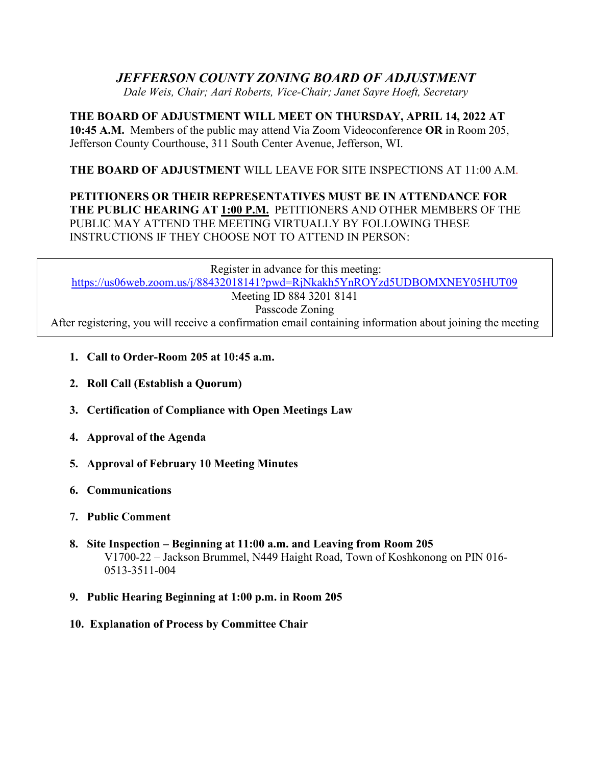## *JEFFERSON COUNTY ZONING BOARD OF ADJUSTMENT*

*Dale Weis, Chair; Aari Roberts, Vice-Chair; Janet Sayre Hoeft, Secretary*

**THE BOARD OF ADJUSTMENT WILL MEET ON THURSDAY, APRIL 14, 2022 AT 10:45 A.M.** Members of the public may attend Via Zoom Videoconference **OR** in Room 205, Jefferson County Courthouse, 311 South Center Avenue, Jefferson, WI.

## **THE BOARD OF ADJUSTMENT** WILL LEAVE FOR SITE INSPECTIONS AT 11:00 A.M.

## **PETITIONERS OR THEIR REPRESENTATIVES MUST BE IN ATTENDANCE FOR THE PUBLIC HEARING AT 1:00 P.M.** PETITIONERS AND OTHER MEMBERS OF THE PUBLIC MAY ATTEND THE MEETING VIRTUALLY BY FOLLOWING THESE INSTRUCTIONS IF THEY CHOOSE NOT TO ATTEND IN PERSON:

Register in advance for this meeting: <https://us06web.zoom.us/j/88432018141?pwd=RjNkakh5YnROYzd5UDBOMXNEY05HUT09> Meeting ID 884 3201 8141 Passcode Zoning

After registering, you will receive a confirmation email containing information about joining the meeting

- **1. Call to Order-Room 205 at 10:45 a.m.**
- **2. Roll Call (Establish a Quorum)**
- **3. Certification of Compliance with Open Meetings Law**
- **4. Approval of the Agenda**
- **5. Approval of February 10 Meeting Minutes**
- **6. Communications**
- **7. Public Comment**
- **8. Site Inspection – Beginning at 11:00 a.m. and Leaving from Room 205** V1700-22 – Jackson Brummel, N449 Haight Road, Town of Koshkonong on PIN 016- 0513-3511-004
- **9. Public Hearing Beginning at 1:00 p.m. in Room 205**
- **10. Explanation of Process by Committee Chair**